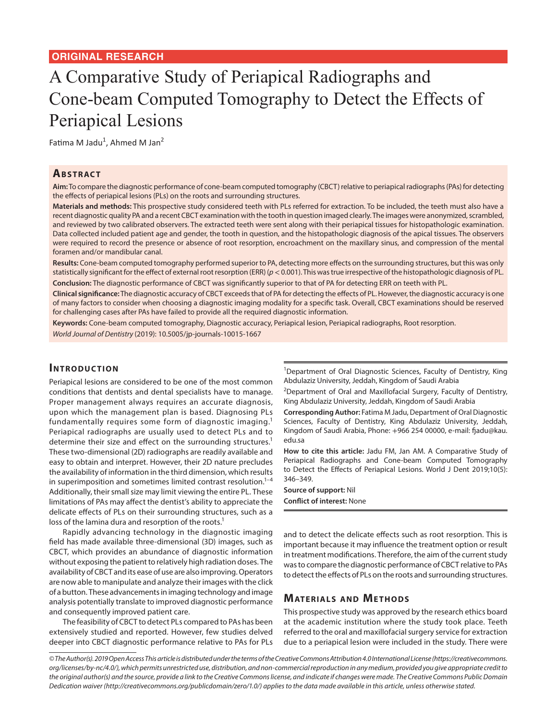# A Comparative Study of Periapical Radiographs and Cone-beam Computed Tomography to Detect the Effects of Periapical Lesions

Fatima M Jadu<sup>1</sup>, Ahmed M Jan<sup>2</sup>

## **ABSTRACT**

**Aim:** To compare the diagnostic performance of cone-beam computed tomography (CBCT) relative to periapical radiographs (PAs) for detecting the effects of periapical lesions (PLs) on the roots and surrounding structures.

**Materials and methods:** This prospective study considered teeth with PLs referred for extraction. To be included, the teeth must also have a recent diagnostic quality PA and a recent CBCT examination with the tooth in question imaged clearly. The images were anonymized, scrambled, and reviewed by two calibrated observers. The extracted teeth were sent along with their periapical tissues for histopathologic examination. Data collected included patient age and gender, the tooth in question, and the histopathologic diagnosis of the apical tissues. The observers were required to record the presence or absence of root resorption, encroachment on the maxillary sinus, and compression of the mental foramen and/or mandibular canal.

**Results:** Cone-beam computed tomography performed superior to PA, detecting more effects on the surrounding structures, but this was only statistically significant for the effect of external root resorption (ERR) (*p*< 0.001). This was true irrespective of the histopathologic diagnosis of PL. **Conclusion:** The diagnostic performance of CBCT was significantly superior to that of PA for detecting ERR on teeth with PL.

**Clinical significance:** The diagnostic accuracy of CBCT exceeds that of PA for detecting the effects of PL. However, the diagnostic accuracy is one of many factors to consider when choosing a diagnostic imaging modality for a specific task. Overall, CBCT examinations should be reserved for challenging cases after PAs have failed to provide all the required diagnostic information.

**Keywords:** Cone-beam computed tomography, Diagnostic accuracy, Periapical lesion, Periapical radiographs, Root resorption.

*World Journal of Dentistry* (2019): 10.5005/jp-journals-10015-1667

### **INTRODUCTION**

Periapical lesions are considered to be one of the most common conditions that dentists and dental specialists have to manage. Proper management always requires an accurate diagnosis, upon which the management plan is based. Diagnosing PLs fundamentally requires some form of diagnostic imaging.<sup>1</sup> Periapical radiographs are usually used to detect PLs and to determine their size and effect on the surrounding structures.<sup>1</sup> These two-dimensional (2D) radiographs are readily available and easy to obtain and interpret. However, their 2D nature precludes the availability of information in the third dimension, which results in superimposition and sometimes limited contrast resolution. $1-4$ Additionally, their small size may limit viewing the entire PL. These limitations of PAs may affect the dentist's ability to appreciate the delicate effects of PLs on their surrounding structures, such as a loss of the lamina dura and resorption of the roots.<sup>1</sup>

Rapidly advancing technology in the diagnostic imaging field has made available three-dimensional (3D) images, such as CBCT, which provides an abundance of diagnostic information without exposing the patient to relatively high radiation doses. The availability of CBCT and its ease of use are also improving. Operators are now able to manipulate and analyze their images with the click of a button. These advancements in imaging technology and image analysis potentially translate to improved diagnostic performance and consequently improved patient care.

The feasibility of CBCT to detect PLs compared to PAs has been extensively studied and reported. However, few studies delved deeper into CBCT diagnostic performance relative to PAs for PLs <sup>1</sup>Department of Oral Diagnostic Sciences, Faculty of Dentistry, King Abdulaziz University, Jeddah, Kingdom of Saudi Arabia

<sup>2</sup>Department of Oral and Maxillofacial Surgery, Faculty of Dentistry, King Abdulaziz University, Jeddah, Kingdom of Saudi Arabia

**Corresponding Author:** Fatima M Jadu, Department of Oral Diagnostic Sciences, Faculty of Dentistry, King Abdulaziz University, Jeddah, Kingdom of Saudi Arabia, Phone: +966 254 00000, e-mail: fjadu@kau. edu.sa

**How to cite this article:** Jadu FM, Jan AM. A Comparative Study of Periapical Radiographs and Cone-beam Computed Tomography to Detect the Effects of Periapical Lesions. World J Dent 2019;10(5): 346–349.

**Source of support:** Nil **Conflict of interest:** None

and to detect the delicate effects such as root resorption. This is important because it may influence the treatment option or result in treatment modifications. Therefore, the aim of the current study was to compare the diagnostic performance of CBCT relative to PAs to detect the effects of PLs on the roots and surrounding structures.

# **MATERIALS AND METHODS**

This prospective study was approved by the research ethics board at the academic institution where the study took place. Teeth referred to the oral and maxillofacial surgery service for extraction due to a periapical lesion were included in the study. There were

*© The Author(s). 2019 Open Access This article is distributed under the terms of the Creative Commons Attribution 4.0 International License (https://creativecommons. org/licenses/by-nc/4.0/), which permits unrestricted use, distribution, and non-commercial reproduction in any medium, provided you give appropriate credit to the original author(s) and the source, provide a link to the Creative Commons license, and indicate if changes were made. The Creative Commons Public Domain Dedication waiver (http://creativecommons.org/publicdomain/zero/1.0/) applies to the data made available in this article, unless otherwise stated.*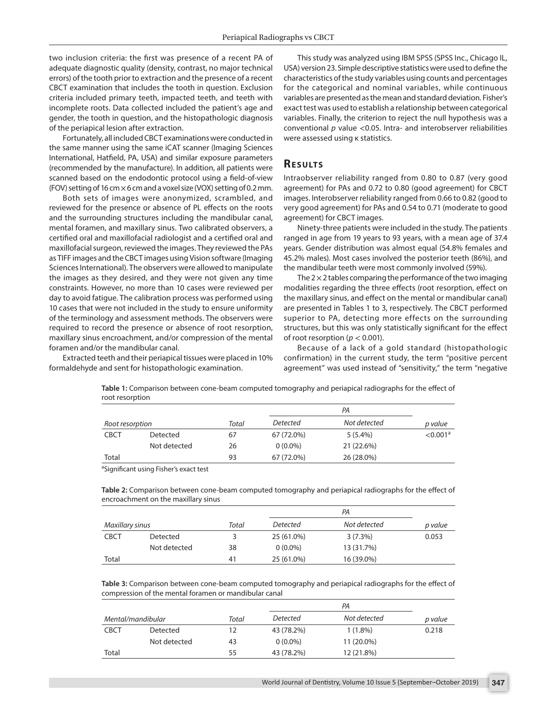two inclusion criteria: the first was presence of a recent PA of adequate diagnostic quality (density, contrast, no major technical errors) of the tooth prior to extraction and the presence of a recent CBCT examination that includes the tooth in question. Exclusion criteria included primary teeth, impacted teeth, and teeth with incomplete roots. Data collected included the patient's age and gender, the tooth in question, and the histopathologic diagnosis of the periapical lesion after extraction.

Fortunately, all included CBCT examinations were conducted in the same manner using the same iCAT scanner (Imaging Sciences International, Hatfield, PA, USA) and similar exposure parameters (recommended by the manufacture). In addition, all patients were scanned based on the endodontic protocol using a field-of-view (FOV) setting of 16 cm  $\times$  6 cm and a voxel size (VOX) setting of 0.2 mm.

Both sets of images were anonymized, scrambled, and reviewed for the presence or absence of PL effects on the roots and the surrounding structures including the mandibular canal, mental foramen, and maxillary sinus. Two calibrated observers, a certified oral and maxillofacial radiologist and a certified oral and maxillofacial surgeon, reviewed the images. They reviewed the PAs as TIFF images and the CBCT images using Vision software (Imaging Sciences International). The observers were allowed to manipulate the images as they desired, and they were not given any time constraints. However, no more than 10 cases were reviewed per day to avoid fatigue. The calibration process was performed using 10 cases that were not included in the study to ensure uniformity of the terminology and assessment methods. The observers were required to record the presence or absence of root resorption, maxillary sinus encroachment, and/or compression of the mental foramen and/or the mandibular canal.

Extracted teeth and their periapical tissues were placed in 10% formaldehyde and sent for histopathologic examination.

This study was analyzed using IBM SPSS (SPSS Inc., Chicago IL, USA) version 23. Simple descriptive statistics were used to define the characteristics of the study variables using counts and percentages for the categorical and nominal variables, while continuous variables are presented as the mean and standard deviation. Fisher's exact test was used to establish a relationship between categorical variables. Finally, the criterion to reject the null hypothesis was a conventional *p* value <0.05. Intra- and interobserver reliabilities were assessed using κ statistics.

## **RESULTS**

Intraobserver reliability ranged from 0.80 to 0.87 (very good agreement) for PAs and 0.72 to 0.80 (good agreement) for CBCT images. Interobserver reliability ranged from 0.66 to 0.82 (good to very good agreement) for PAs and 0.54 to 0.71 (moderate to good agreement) for CBCT images.

Ninety-three patients were included in the study. The patients ranged in age from 19 years to 93 years, with a mean age of 37.4 years. Gender distribution was almost equal (54.8% females and 45.2% males). Most cases involved the posterior teeth (86%), and the mandibular teeth were most commonly involved (59%).

The  $2 \times 2$  tables comparing the performance of the two imaging modalities regarding the three effects (root resorption, effect on the maxillary sinus, and effect on the mental or mandibular canal) are presented in Tables 1 to 3, respectively. The CBCT performed superior to PA, detecting more effects on the surrounding structures, but this was only statistically significant for the effect of root resorption ( $p < 0.001$ ).

Because of a lack of a gold standard (histopathologic confirmation) in the current study, the term "positive percent agreement" was used instead of "sensitivity," the term "negative

|                 |              |       |            | РA           |                      |
|-----------------|--------------|-------|------------|--------------|----------------------|
| Root resorption |              | Total | Detected   | Not detected | p value              |
| <b>CBCT</b>     | Detected     | 67    | 67 (72.0%) | $5(5.4\%)$   | < 0.001 <sup>a</sup> |
|                 | Not detected | 26    | $0(0.0\%)$ | 21 (22.6%)   |                      |
| Total           |              | 93    | 67 (72.0%) | 26 (28.0%)   |                      |

**Table 1:** Comparison between cone-beam computed tomography and periapical radiographs for the effect of root resorption

<sup>a</sup>Significant using Fisher's exact test

**Table 2:** Comparison between cone-beam computed tomography and periapical radiographs for the effect of encroachment on the maxillary sinus

|                 |                 |       | РA         |              |         |
|-----------------|-----------------|-------|------------|--------------|---------|
| Maxillary sinus |                 | Total | Detected   | Not detected | p value |
| <b>CBCT</b>     | <b>Detected</b> |       | 25 (61.0%) | 3(7.3%)      | 0.053   |
|                 | Not detected    | 38    | $0(0.0\%)$ | 13 (31.7%)   |         |
| Total           |                 | 41    | 25 (61.0%) | 16 (39.0%)   |         |

**Table 3:** Comparison between cone-beam computed tomography and periapical radiographs for the effect of compression of the mental foramen or mandibular canal

| Mental/mandibular |              | Total | Detected   | Not detected | p value |
|-------------------|--------------|-------|------------|--------------|---------|
| <b>CBCT</b>       | Detected     | 12    | 43 (78.2%) | $1(1.8\%)$   | 0.218   |
|                   | Not detected | 43    | $0(0.0\%)$ | 11 (20.0%)   |         |
| Total             |              | 55    | 43 (78.2%) | 12 (21.8%)   |         |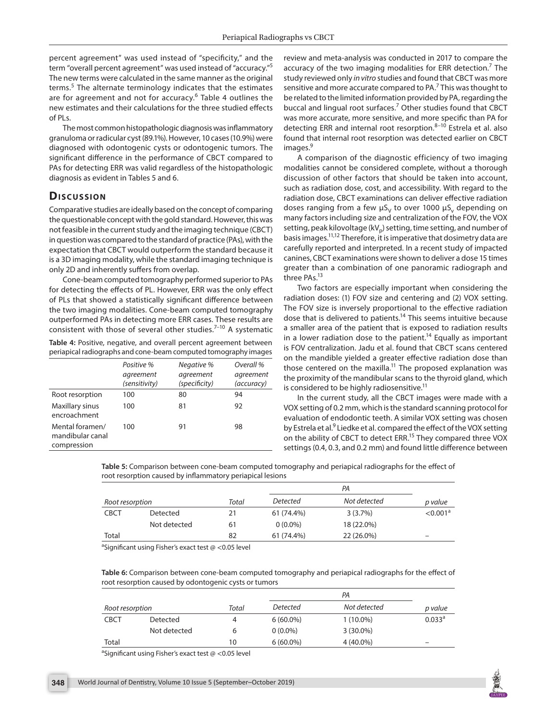percent agreement" was used instead of "specificity," and the term "overall percent agreement" was used instead of "accuracy."5 The new terms were calculated in the same manner as the original terms.<sup>5</sup> The alternate terminology indicates that the estimates are for agreement and not for accuracy.<sup>6</sup> Table 4 outlines the new estimates and their calculations for the three studied effects of PLs.

The most common histopathologic diagnosis was inflammatory granuloma or radicular cyst (89.1%). However, 10 cases (10.9%) were diagnosed with odontogenic cysts or odontogenic tumors. The significant difference in the performance of CBCT compared to PAs for detecting ERR was valid regardless of the histopathologic diagnosis as evident in Tables 5 and 6.

## **Discussion**

Comparative studies are ideally based on the concept of comparing the questionable concept with the gold standard. However, this was not feasible in the current study and the imaging technique (CBCT) in question was compared to the standard of practice (PAs), with the expectation that CBCT would outperform the standard because it is a 3D imaging modality, while the standard imaging technique is only 2D and inherently suffers from overlap.

Cone-beam computed tomography performed superior to PAs for detecting the effects of PL. However, ERR was the only effect of PLs that showed a statistically significant difference between the two imaging modalities. Cone-beam computed tomography outperformed PAs in detecting more ERR cases. These results are consistent with those of several other studies. $7-10$  A systematic

**Table 4:** Positive, negative, and overall percent agreement between periapical radiographs and cone-beam computed tomography images

|                                                    | Positive %<br>agreement<br>(sensitivity) | Negative %<br>agreement<br>(specificity) | Overall %<br>agreement<br>(accuracy) |
|----------------------------------------------------|------------------------------------------|------------------------------------------|--------------------------------------|
| Root resorption                                    | 100                                      | 80                                       | 94                                   |
| Maxillary sinus<br>encroachment                    | 100                                      | 81                                       | 92                                   |
| Mental foramen/<br>mandibular canal<br>compression | 100                                      | 91                                       | 98                                   |

review and meta-analysis was conducted in 2017 to compare the accuracy of the two imaging modalities for ERR detection.<sup>7</sup> The study reviewed only *in vitro* studies and found that CBCT was more sensitive and more accurate compared to PA.<sup>7</sup> This was thought to be related to the limited information provided by PA, regarding the buccal and lingual root surfaces.<sup>7</sup> Other studies found that CBCT was more accurate, more sensitive, and more specific than PA for detecting ERR and internal root resorption. $8-10$  Estrela et al. also found that internal root resorption was detected earlier on CBCT images.<sup>9</sup>

A comparison of the diagnostic efficiency of two imaging modalities cannot be considered complete, without a thorough discussion of other factors that should be taken into account, such as radiation dose, cost, and accessibility. With regard to the radiation dose, CBCT examinations can deliver effective radiation doses ranging from a few  $\mu S_V$  to over 1000  $\mu S_V$  depending on many factors including size and centralization of the FOV, the VOX setting, peak kilovoltage (kV<sub>n</sub>) setting, time setting, and number of basis images.11,12 Therefore, it is imperative that dosimetry data are carefully reported and interpreted. In a recent study of impacted canines, CBCT examinations were shown to deliver a dose 15 times greater than a combination of one panoramic radiograph and three PAs.<sup>13</sup>

Two factors are especially important when considering the radiation doses: (1) FOV size and centering and (2) VOX setting. The FOV size is inversely proportional to the effective radiation dose that is delivered to patients.<sup>14</sup> This seems intuitive because a smaller area of the patient that is exposed to radiation results in a lower radiation dose to the patient.<sup>14</sup> Equally as important is FOV centralization. Jadu et al. found that CBCT scans centered on the mandible yielded a greater effective radiation dose than those centered on the maxilla.<sup>11</sup> The proposed explanation was the proximity of the mandibular scans to the thyroid gland, which is considered to be highly radiosensitive.<sup>11</sup>

In the current study, all the CBCT images were made with a VOX setting of 0.2 mm, which is the standard scanning protocol for evaluation of endodontic teeth. A similar VOX setting was chosen by Estrela et al.<sup>9</sup> Liedke et al. compared the effect of the VOX setting on the ability of CBCT to detect ERR.<sup>15</sup> They compared three VOX settings (0.4, 0.3, and 0.2 mm) and found little difference between

**Table 5:** Comparison between cone-beam computed tomography and periapical radiographs for the effect of root resorption caused by inflammatory periapical lesions

| Root resorption |              | Total | <b>Detected</b> | Not detected | p value              |
|-----------------|--------------|-------|-----------------|--------------|----------------------|
| <b>CBCT</b>     | Detected     | 21    | 61 (74.4%)      | 3(3.7%)      | < 0.001 <sup>a</sup> |
|                 | Not detected | 61    | $0(0.0\%)$      | 18 (22.0%)   |                      |
| Total           |              | 82    | 61 (74.4%)      | 22 (26.0%)   | -                    |

<sup>a</sup>Significant using Fisher's exact test @ <0.05 level

**Table 6:** Comparison between cone-beam computed tomography and periapical radiographs for the effect of root resorption caused by odontogenic cysts or tumors

|                 |              |       |             | p value     |                          |
|-----------------|--------------|-------|-------------|-------------|--------------------------|
| Root resorption |              | Total | Detected    |             | Not detected             |
| <b>CBCT</b>     | Detected     | 4     | $6(60.0\%)$ | $1(10.0\%)$ | $0.033$ <sup>a</sup>     |
|                 | Not detected | 6     | $0(0.0\%)$  | $3(30.0\%)$ |                          |
| Total           |              | 10    | $6(60.0\%)$ | 4 (40.0%)   | $\overline{\phantom{a}}$ |

<sup>a</sup>Significant using Fisher's exact test @ <0.05 level